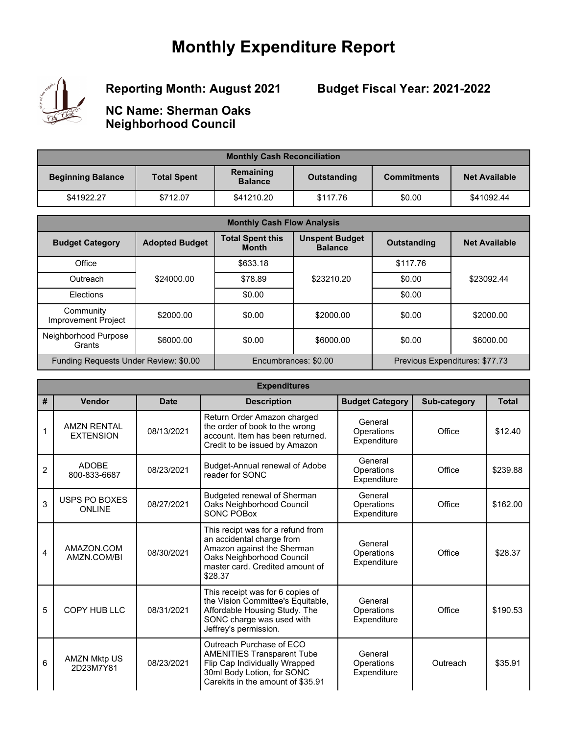## **Monthly Expenditure Report**



**Reporting Month: August 2021**

**Budget Fiscal Year: 2021-2022**

**NC Name: Sherman Oaks Neighborhood Council**

| <b>Monthly Cash Reconciliation</b> |                    |                             |             |                    |                      |
|------------------------------------|--------------------|-----------------------------|-------------|--------------------|----------------------|
| <b>Beginning Balance</b>           | <b>Total Spent</b> | Remaining<br><b>Balance</b> | Outstanding | <b>Commitments</b> | <b>Net Available</b> |
| \$41922.27                         | \$712.07           | \$41210.20                  | \$117.76    | \$0.00             | \$41092.44           |

| <b>Monthly Cash Flow Analysis</b>       |                       |                                         |                                         |                                |                      |  |
|-----------------------------------------|-----------------------|-----------------------------------------|-----------------------------------------|--------------------------------|----------------------|--|
| <b>Budget Category</b>                  | <b>Adopted Budget</b> | <b>Total Spent this</b><br><b>Month</b> | <b>Unspent Budget</b><br><b>Balance</b> | <b>Outstanding</b>             | <b>Net Available</b> |  |
| Office                                  |                       | \$633.18                                |                                         | \$117.76                       |                      |  |
| Outreach                                | \$24000.00            | \$78.89                                 | \$23210.20                              | \$0.00                         | \$23092.44           |  |
| Elections                               |                       | \$0.00                                  |                                         | \$0.00                         |                      |  |
| Community<br><b>Improvement Project</b> | \$2000.00             | \$0.00                                  | \$2000.00                               | \$0.00                         | \$2000.00            |  |
| Neighborhood Purpose<br>Grants          | \$6000.00             | \$0.00                                  | \$6000.00                               | \$0.00                         | \$6000.00            |  |
| Funding Requests Under Review: \$0.00   |                       | Encumbrances: \$0.00                    |                                         | Previous Expenditures: \$77.73 |                      |  |

|                | <b>Expenditures</b>                    |             |                                                                                                                                                                         |                                      |              |              |  |  |
|----------------|----------------------------------------|-------------|-------------------------------------------------------------------------------------------------------------------------------------------------------------------------|--------------------------------------|--------------|--------------|--|--|
| #              | Vendor                                 | <b>Date</b> | <b>Description</b>                                                                                                                                                      | <b>Budget Category</b>               | Sub-category | <b>Total</b> |  |  |
|                | <b>AMZN RENTAL</b><br><b>EXTENSION</b> | 08/13/2021  | Return Order Amazon charged<br>the order of book to the wrong<br>account. Item has been returned.<br>Credit to be issued by Amazon                                      | General<br>Operations<br>Expenditure | Office       | \$12.40      |  |  |
| $\overline{c}$ | <b>ADOBE</b><br>800-833-6687           | 08/23/2021  | Budget-Annual renewal of Adobe<br>reader for SONC                                                                                                                       | General<br>Operations<br>Expenditure | Office       | \$239.88     |  |  |
| 3              | USPS PO BOXES<br><b>ONLINE</b>         | 08/27/2021  | Budgeted renewal of Sherman<br>Oaks Neighborhood Council<br>SONC POBox                                                                                                  | General<br>Operations<br>Expenditure | Office       | \$162.00     |  |  |
| 4              | AMAZON.COM<br>AMZN.COM/BI              | 08/30/2021  | This recipt was for a refund from<br>an accidental charge from<br>Amazon against the Sherman<br>Oaks Neighborhood Council<br>master card. Credited amount of<br>\$28.37 | General<br>Operations<br>Expenditure | Office       | \$28.37      |  |  |
| 5              | <b>COPY HUB LLC</b>                    | 08/31/2021  | This receipt was for 6 copies of<br>the Vision Committee's Equitable,<br>Affordable Housing Study. The<br>SONC charge was used with<br>Jeffrey's permission.            | General<br>Operations<br>Expenditure | Office       | \$190.53     |  |  |
| 6              | <b>AMZN Mktp US</b><br>2D23M7Y81       | 08/23/2021  | Outreach Purchase of ECO<br><b>AMENITIES Transparent Tube</b><br>Flip Cap Individually Wrapped<br>30ml Body Lotion, for SONC<br>Carekits in the amount of \$35.91       | General<br>Operations<br>Expenditure | Outreach     | \$35.91      |  |  |